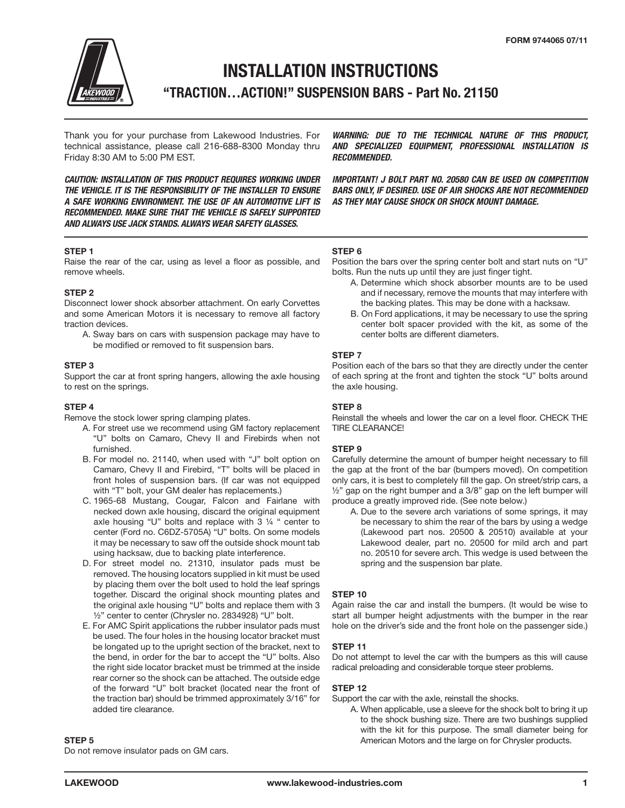

# **INSTALLATION INSTRUCTIONS "TRACTION…ACTION!" SUSPENSION BARS - Part No. 21150**

Thank you for your purchase from Lakewood Industries. For technical assistance, please call 216-688-8300 Monday thru Friday 8:30 AM to 5:00 PM EST.

**CAUTION: INSTALLATION OF THIS PRODUCT REQUIRES WORKING UNDER** *THE VEHICLE. IT IS THE RESPONSIBILITY OF THE INSTALLER TO ENSURE A SAFE WORKING ENVIRONMENT. THE USE OF AN AUTOMOTIVE LIFT IS RECOMMENDED. MAKE SURE THAT THE VEHICLE IS SAFELY SUPPORTED AND ALWAYS USE JACK STANDS. ALWAYS WEAR SAFETY GLASSES.*

**STEP 1**

Raise the rear of the car, using as level a floor as possible, and remove wheels.

#### **STEP 2**

Disconnect lower shock absorber attachment. On early Corvettes and some American Motors it is necessary to remove all factory traction devices.

A. Sway bars on cars with suspension package may have to be modified or removed to fit suspension bars.

#### **STEP 3**

Support the car at front spring hangers, allowing the axle housing to rest on the springs.

#### **STEP 4**

Remove the stock lower spring clamping plates.

- A. For street use we recommend using GM factory replacement "U" bolts on Camaro, Chevy II and Firebirds when not furnished.
- B. For model no. 21140, when used with "J" bolt option on Camaro, Chevy II and Firebird, "T" bolts will be placed in front holes of suspension bars. (If car was not equipped with "T" bolt, your GM dealer has replacements.)
- C. 1965-68 Mustang, Cougar, Falcon and Fairlane with necked down axle housing, discard the original equipment axle housing "U" bolts and replace with 3 ¼ " center to center (Ford no. C6DZ-5705A) "U" bolts. On some models it may be necessary to saw off the outside shock mount tab using hacksaw, due to backing plate interference.
- D. For street model no. 21310, insulator pads must be removed. The housing locators supplied in kit must be used by placing them over the bolt used to hold the leaf springs together. Discard the original shock mounting plates and the original axle housing "U" bolts and replace them with 3 ½" center to center (Chrysler no. 2834928) "U" bolt.
- E. For AMC Spirit applications the rubber insulator pads must be used. The four holes in the housing locator bracket must be longated up to the upright section of the bracket, next to the bend, in order for the bar to accept the "U" bolts. Also the right side locator bracket must be trimmed at the inside rear corner so the shock can be attached. The outside edge of the forward "U" bolt bracket (located near the front of the traction bar) should be trimmed approximately 3/16" for added tire clearance.

#### **STEP 5**

Do not remove insulator pads on GM cars.

*WARNING: DUE TO THE TECHNICAL NATURE OF THIS PRODUCT, AND SPECIALIZED EQUIPMENT, PROFESSIONAL INSTALLATION IS RECOMMENDED.* 

*IMPORTANT! J BOLT PART NO. 20580 CAN BE USED ON COMPETITION*  **BARS ONLY, IF DESIRED. USE OF AIR SHOCKS ARE NOT RECOMMENDED** *AS THEY MAY CAUSE SHOCK OR SHOCK MOUNT DAMAGE.*

### **STEP 6**

Position the bars over the spring center bolt and start nuts on "U" bolts. Run the nuts up until they are just finger tight.

- A. Determine which shock absorber mounts are to be used and if necessary, remove the mounts that may interfere with the backing plates. This may be done with a hacksaw.
- B. On Ford applications, it may be necessary to use the spring center bolt spacer provided with the kit, as some of the center bolts are different diameters.

#### **STEP 7**

Position each of the bars so that they are directly under the center of each spring at the front and tighten the stock "U" bolts around the axle housing.

# **STEP 8**

Reinstall the wheels and lower the car on a level floor. CHECK THE TIRE CLEARANCE!

#### **STEP 9**

Carefully determine the amount of bumper height necessary to fill the gap at the front of the bar (bumpers moved). On competition only cars, it is best to completely fill the gap. On street/strip cars, a ½" gap on the right bumper and a 3/8" gap on the left bumper will produce a greatly improved ride. (See note below.)

A. Due to the severe arch variations of some springs, it may be necessary to shim the rear of the bars by using a wedge (Lakewood part nos. 20500 & 20510) available at your Lakewood dealer, part no. 20500 for mild arch and part no. 20510 for severe arch. This wedge is used between the spring and the suspension bar plate.

#### **STEP 10**

Again raise the car and install the bumpers. (It would be wise to start all bumper height adjustments with the bumper in the rear hole on the driver's side and the front hole on the passenger side.)

#### **STEP 11**

Do not attempt to level the car with the bumpers as this will cause radical preloading and considerable torque steer problems.

#### **STEP 12**

Support the car with the axle, reinstall the shocks.

A. When applicable, use a sleeve for the shock bolt to bring it up to the shock bushing size. There are two bushings supplied with the kit for this purpose. The small diameter being for American Motors and the large on for Chrysler products.